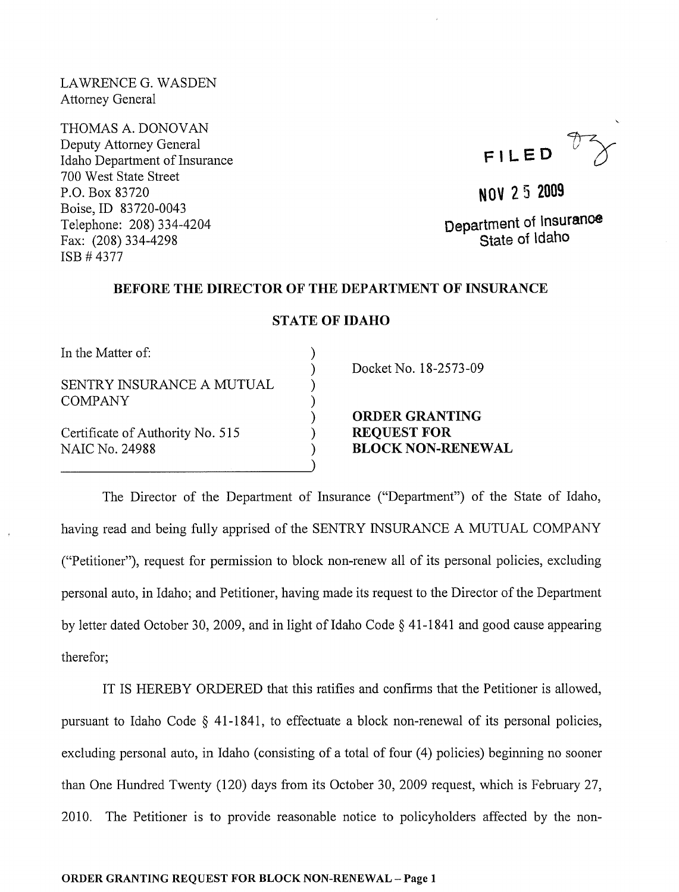LAWRENCE G. WASDEN Attorney General

THOMAS A. DONOVAN Deputy Attorney General Idaho Department of Insurance 700 West State Street P.O. Box 83720 Boise,ID 83720-0043 Telephone: 208) 334-4204 Fax: (208) 334-4298 ISB # 4377

**FILED** ~

**NOV 25 2009** 

**Department of Insurance State of Idaho** 

## **BEFORE THE DIRECTOR OF THE DEPARTMENT OF INSURANCE**

## **STATE OF IDAHO**

) ) ) ) ) ) ) )

In the Matter of:

SENTRY INSURANCE A MUTUAL COMPANY

Certificate of Authority No. 515 NAIC No. 24988

Docket No. 18-2573-09

**ORDER GRANTING**  REQUEST FOR **BLOCK NON-RENEWAL** 

The Director of the Department of Insurance ("Department") of the State of Idaho, having read and being fully apprised of the SENTRY INSURANCE A MUTUAL COMPANY ("Petitioner"), request for permission to block non-renew all of its personal policies, excluding personal auto, in Idaho; and Petitioner, having made its request to the Director of the Depmiment by letter dated October 30, 2009, and in light of Idaho Code  $\S$  41-1841 and good cause appearing therefor;

IT IS HEREBY ORDERED that this ratifies and confirms that the Petitioner is allowed, pursuant to Idaho Code  $\S$  41-1841, to effectuate a block non-renewal of its personal policies, excluding personal auto, in Idaho (consisting of a total of four (4) policies) beginning no sooner than One Hundred Twenty (120) days from its October 30, 2009 request, which is February 27, 2010. The Petitioner is to provide reasonable notice to policyholders affected by the non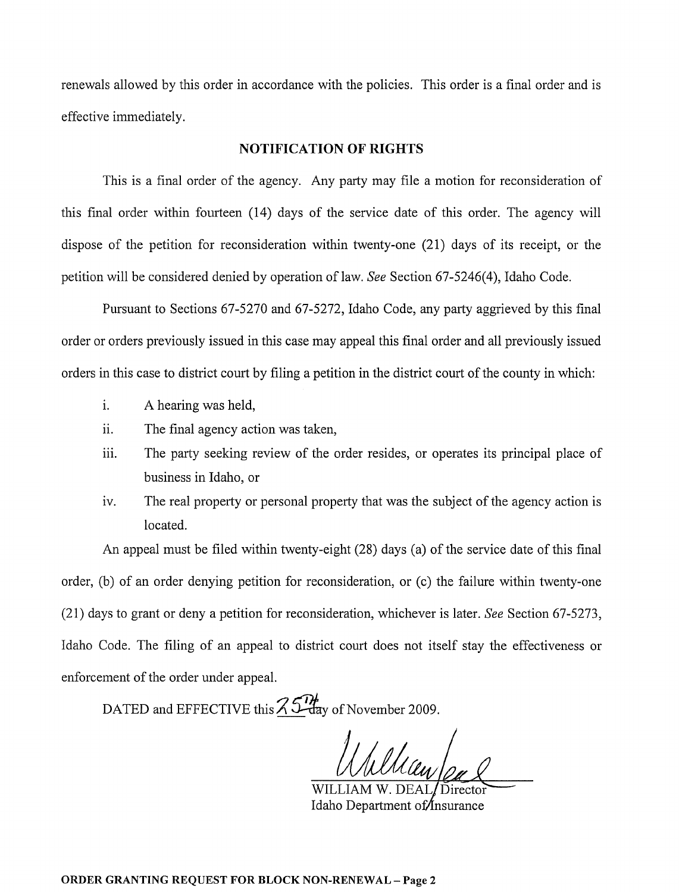renewals allowed by this order in accordance with the policies. This order is a final order and is effective immediately.

## **NOTIFICATION OF RIGHTS**

This is a final order of the agency. Any party may file a motion for reconsideration of this final order within fourteen (14) days of the service date of this order. The agency will dispose of the petition for reconsideration within twenty-one (21) days of its receipt, or the petition will be considered denied by operation of law. *See* Section 67-5246(4), Idaho Code.

Pursuant to Sections 67-5270 and 67-5272, Idaho Code, any party aggrieved by this final order or orders previously issued in this case may appeal this final order and all previously issued orders in this case to district court by filing a petition in the district court of the county in which:

- i. A hearing was held,
- ii. The final agency action was taken,
- iii. The party seeking review of the order resides, or operates its principal place of business in Idaho, or
- iv. The real property or personal property that was the subject of the agency action is located.

An appeal must be filed within twenty-eight (28) days (a) of the service date of this final order, (b) of an order denying petition for reconsideration, or (c) the failure within twenty-one (21) days to grant or deny a petition for reconsideration, whichever is later. *See* Section 67-5273, Idaho Code. The filing of an appeal to district court does not itself stay the effectiveness or enforcement of the order under appeal.

DATED and EFFECTIVE this  $\frac{\partial \mathcal{L}}{\partial \mathbf{a}}$  of November 2009.

Idaho Department of *Insurance*